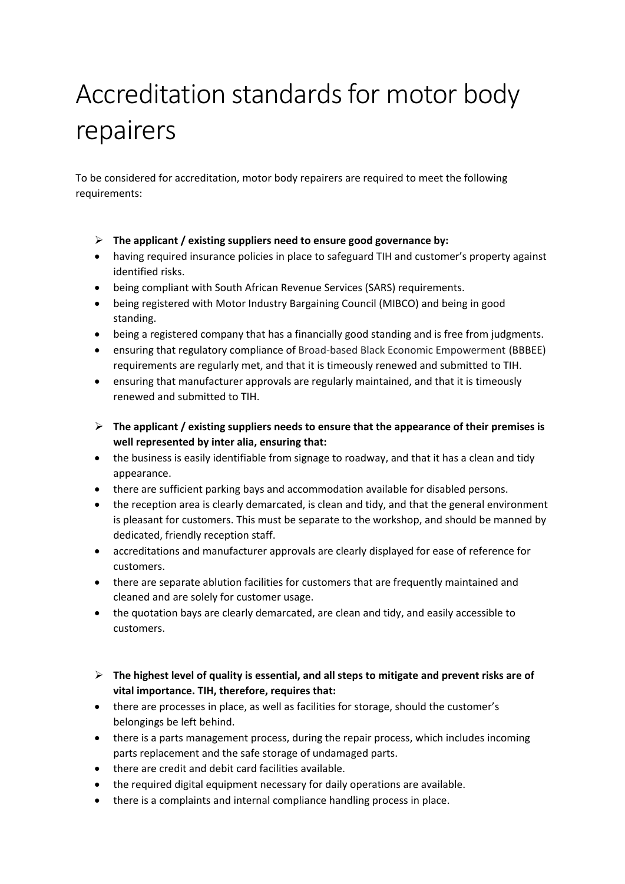## Accreditation standards for motor body repairers

To be considered for accreditation, motor body repairers are required to meet the following requirements:

- **The applicant / existing suppliers need to ensure good governance by:**
- having required insurance policies in place to safeguard TIH and customer's property against identified risks.
- being compliant with South African Revenue Services (SARS) requirements.
- being registered with Motor Industry Bargaining Council (MIBCO) and being in good standing.
- being a registered company that has a financially good standing and is free from judgments.
- ensuring that regulatory compliance of Broad-based Black Economic Empowerment (BBBEE) requirements are regularly met, and that it is timeously renewed and submitted to TIH.
- ensuring that manufacturer approvals are regularly maintained, and that it is timeously renewed and submitted to TIH.
- **The applicant / existing suppliers needs to ensure that the appearance of their premises is well represented by inter alia, ensuring that:**
- the business is easily identifiable from signage to roadway, and that it has a clean and tidy appearance.
- there are sufficient parking bays and accommodation available for disabled persons.
- the reception area is clearly demarcated, is clean and tidy, and that the general environment is pleasant for customers. This must be separate to the workshop, and should be manned by dedicated, friendly reception staff.
- accreditations and manufacturer approvals are clearly displayed for ease of reference for customers.
- there are separate ablution facilities for customers that are frequently maintained and cleaned and are solely for customer usage.
- the quotation bays are clearly demarcated, are clean and tidy, and easily accessible to customers.
- **The highest level of quality is essential, and all steps to mitigate and prevent risks are of vital importance. TIH, therefore, requires that:**
- there are processes in place, as well as facilities for storage, should the customer's belongings be left behind.
- there is a parts management process, during the repair process, which includes incoming parts replacement and the safe storage of undamaged parts.
- there are credit and debit card facilities available.
- the required digital equipment necessary for daily operations are available.
- there is a complaints and internal compliance handling process in place.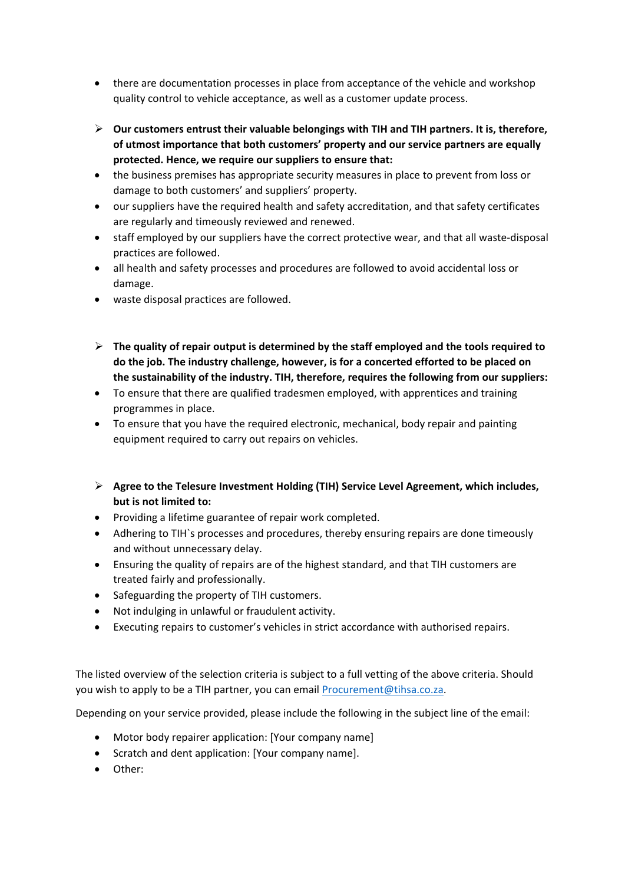- there are documentation processes in place from acceptance of the vehicle and workshop quality control to vehicle acceptance, as well as a customer update process.
- **Our customers entrust their valuable belongings with TIH and TIH partners. It is, therefore, of utmost importance that both customers' property and our service partners are equally protected. Hence, we require our suppliers to ensure that:**
- the business premises has appropriate security measures in place to prevent from loss or damage to both customers' and suppliers' property.
- our suppliers have the required health and safety accreditation, and that safety certificates are regularly and timeously reviewed and renewed.
- staff employed by our suppliers have the correct protective wear, and that all waste-disposal practices are followed.
- all health and safety processes and procedures are followed to avoid accidental loss or damage.
- waste disposal practices are followed.
- **The quality of repair output is determined by the staff employed and the tools required to do the job. The industry challenge, however, is for a concerted efforted to be placed on the sustainability of the industry. TIH, therefore, requires the following from our suppliers:**
- To ensure that there are qualified tradesmen employed, with apprentices and training programmes in place.
- To ensure that you have the required electronic, mechanical, body repair and painting equipment required to carry out repairs on vehicles.
- **Agree to the Telesure Investment Holding (TIH) Service Level Agreement, which includes, but is not limited to:**
- Providing a lifetime guarantee of repair work completed.
- Adhering to TIH`s processes and procedures, thereby ensuring repairs are done timeously and without unnecessary delay.
- Ensuring the quality of repairs are of the highest standard, and that TIH customers are treated fairly and professionally.
- Safeguarding the property of TIH customers.
- Not indulging in unlawful or fraudulent activity.
- Executing repairs to customer's vehicles in strict accordance with authorised repairs.

The listed overview of the selection criteria is subject to a full vetting of the above criteria. Should you wish to apply to be a TIH partner, you can email [Procurement@tihsa.co.za.](mailto:Procurement@tihsa.co.za)

Depending on your service provided, please include the following in the subject line of the email:

- Motor body repairer application: [Your company name]
- Scratch and dent application: [Your company name].
- Other: